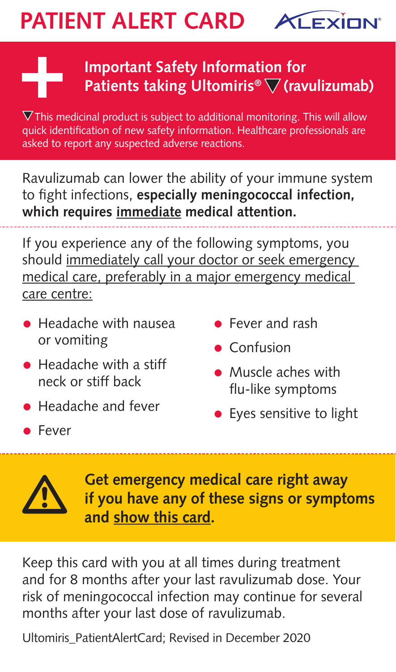## **PATIENT ALERT CARD ALEXIEN'**

## **Important Safety Information for Patients taking Ultomiris®** ▽ (ravulizumab)

 $\nabla$ This medicinal product is subject to additional monitoring. This will allow quick identification of new safety information. Healthcare professionals are asked to report any suspected adverse reactions.

Ravulizumab can lower the ability of your immune system to fight infections, **especially meningococcal infection, which requires immediate medical attention.**

If you experience any of the following symptoms, you should immediately call your doctor or seek emergency medical care, preferably in a major emergency medical care centre:

- Headache with nausea or vomiting
- Headache with a stiff neck or stiff back
- Headache and fever
- Fever
- Fever and rash
- Confusion
- Muscle aches with flu-like symptoms
- Eyes sensitive to light



**Get emergency medical care right away if you have any of these signs or symptoms and show this card.**

Keep this card with you at all times during treatment and for 8 months after your last ravulizumab dose. Your risk of meningococcal infection may continue for several months after your last dose of ravulizumab.

Ultomiris\_PatientAlertCard; Revised in December 2020